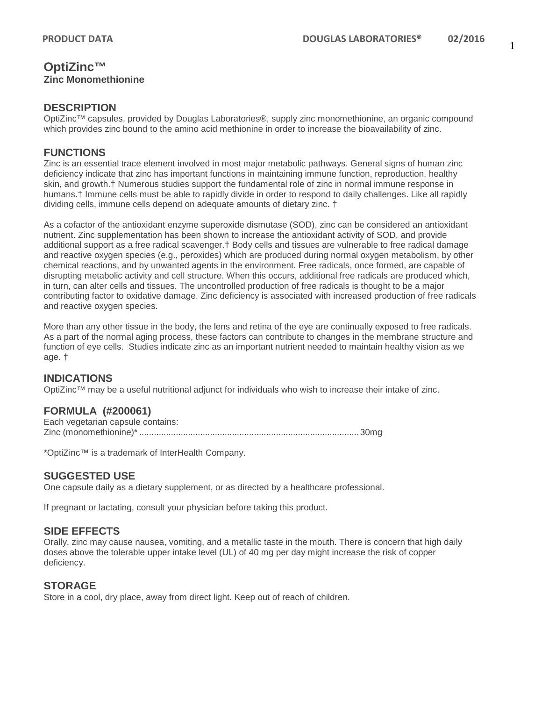## **OptiZinc™ Zinc Monomethionine**

#### **DESCRIPTION**

OptiZinc™ capsules, provided by Douglas Laboratories®, supply zinc monomethionine, an organic compound which provides zinc bound to the amino acid methionine in order to increase the bioavailability of zinc.

## **FUNCTIONS**

Zinc is an essential trace element involved in most major metabolic pathways. General signs of human zinc deficiency indicate that zinc has important functions in maintaining immune function, reproduction, healthy skin, and growth.† Numerous studies support the fundamental role of zinc in normal immune response in humans.† Immune cells must be able to rapidly divide in order to respond to daily challenges. Like all rapidly dividing cells, immune cells depend on adequate amounts of dietary zinc. †

As a cofactor of the antioxidant enzyme superoxide dismutase (SOD), zinc can be considered an antioxidant nutrient. Zinc supplementation has been shown to increase the antioxidant activity of SOD, and provide additional support as a free radical scavenger.† Body cells and tissues are vulnerable to free radical damage and reactive oxygen species (e.g., peroxides) which are produced during normal oxygen metabolism, by other chemical reactions, and by unwanted agents in the environment. Free radicals, once formed, are capable of disrupting metabolic activity and cell structure. When this occurs, additional free radicals are produced which, in turn, can alter cells and tissues. The uncontrolled production of free radicals is thought to be a major contributing factor to oxidative damage. Zinc deficiency is associated with increased production of free radicals and reactive oxygen species.

More than any other tissue in the body, the lens and retina of the eye are continually exposed to free radicals. As a part of the normal aging process, these factors can contribute to changes in the membrane structure and function of eye cells. Studies indicate zinc as an important nutrient needed to maintain healthy vision as we age. †

## **INDICATIONS**

OptiZinc™ may be a useful nutritional adjunct for individuals who wish to increase their intake of zinc.

## **FORMULA (#200061)**

Each vegetarian capsule contains: Zinc (monomethionine)\*.......................................................................................... 30mg

\*OptiZinc™ is a trademark of InterHealth Company.

## **SUGGESTED USE**

One capsule daily as a dietary supplement, or as directed by a healthcare professional.

If pregnant or lactating, consult your physician before taking this product.

## **SIDE EFFECTS**

Orally, zinc may cause nausea, vomiting, and a metallic taste in the mouth. There is concern that high daily doses above the tolerable upper intake level (UL) of 40 mg per day might increase the risk of copper deficiency.

#### **STORAGE**

Store in a cool, dry place, away from direct light. Keep out of reach of children.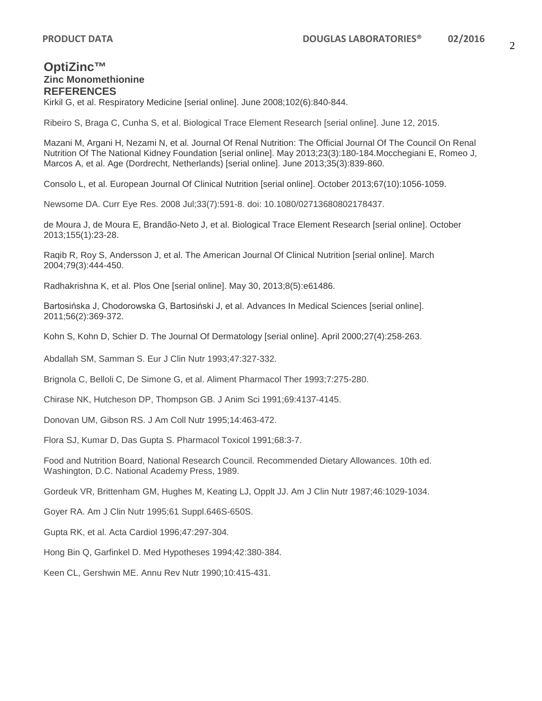## **OptiZinc™ Zinc Monomethionine REFERENCES**

Kirkil G, et al. Respiratory Medicine [serial online]. June 2008;102(6):840-844.

Ribeiro S, Braga C, Cunha S, et al. Biological Trace Element Research [serial online]. June 12, 2015.

Mazani M, Argani H, Nezami N, et al. Journal Of Renal Nutrition: The Official Journal Of The Council On Renal Nutrition Of The National Kidney Foundation [serial online]. May 2013;23(3):180-184.Mocchegiani E, Romeo J, Marcos A, et al. Age (Dordrecht, Netherlands) [serial online]. June 2013;35(3):839-860.

Consolo L, et al. European Journal Of Clinical Nutrition [serial online]. October 2013;67(10):1056-1059.

Newsome DA. Curr Eye Res. 2008 Jul;33(7):591-8. doi: 10.1080/02713680802178437.

de Moura J, de Moura E, Brandão-Neto J, et al. Biological Trace Element Research [serial online]. October 2013;155(1):23-28.

Raqib R, Roy S, Andersson J, et al. The American Journal Of Clinical Nutrition [serial online]. March 2004;79(3):444-450.

Radhakrishna K, et al. Plos One [serial online]. May 30, 2013;8(5):e61486.

Bartosińska J, Chodorowska G, Bartosiński J, et al. Advances In Medical Sciences [serial online]. 2011;56(2):369-372.

Kohn S, Kohn D, Schier D. The Journal Of Dermatology [serial online]. April 2000;27(4):258-263.

Abdallah SM, Samman S. Eur J Clin Nutr 1993;47:327-332.

Brignola C, Belloli C, De Simone G, et al. Aliment Pharmacol Ther 1993;7:275-280.

Chirase NK, Hutcheson DP, Thompson GB. J Anim Sci 1991;69:4137-4145.

Donovan UM, Gibson RS. J Am Coll Nutr 1995;14:463-472.

Flora SJ, Kumar D, Das Gupta S. Pharmacol Toxicol 1991;68:3-7.

Food and Nutrition Board, National Research Council. Recommended Dietary Allowances. 10th ed. Washington, D.C. National Academy Press, 1989.

Gordeuk VR, Brittenham GM, Hughes M, Keating LJ, Opplt JJ. Am J Clin Nutr 1987;46:1029-1034.

Goyer RA. Am J Clin Nutr 1995;61 Suppl.646S-650S.

Gupta RK, et al. Acta Cardiol 1996;47:297-304.

Hong Bin Q, Garfinkel D. Med Hypotheses 1994;42:380-384.

Keen CL, Gershwin ME. Annu Rev Nutr 1990;10:415-431.